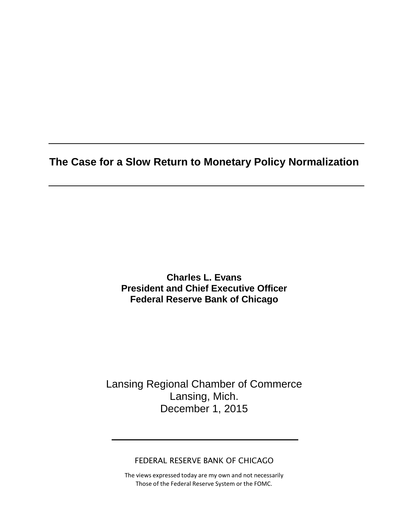**The Case for a Slow Return to Monetary Policy Normalization**

**Charles L. Evans President and Chief Executive Officer Federal Reserve Bank of Chicago**

Lansing Regional Chamber of Commerce Lansing, Mich. December 1, 2015

FEDERAL RESERVE BANK OF CHICAGO

The views expressed today are my own and not necessarily Those of the Federal Reserve System or the FOMC.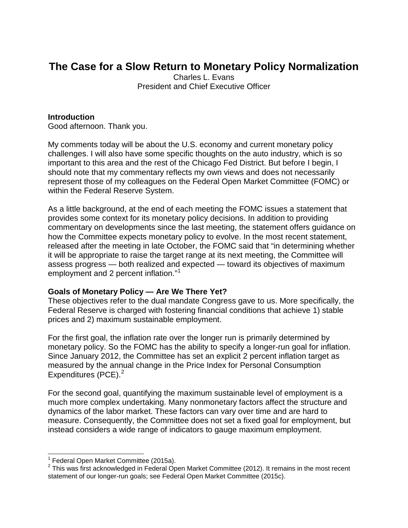## **The Case for a Slow Return to Monetary Policy Normalization**

Charles L. Evans President and Chief Executive Officer

#### **Introduction**

Good afternoon. Thank you.

My comments today will be about the U.S. economy and current monetary policy challenges. I will also have some specific thoughts on the auto industry, which is so important to this area and the rest of the Chicago Fed District. But before I begin, I should note that my commentary reflects my own views and does not necessarily represent those of my colleagues on the Federal Open Market Committee (FOMC) or within the Federal Reserve System.

As a little background, at the end of each meeting the FOMC issues a statement that provides some context for its monetary policy decisions. In addition to providing commentary on developments since the last meeting, the statement offers guidance on how the Committee expects monetary policy to evolve. In the most recent statement, released after the meeting in late October, the FOMC said that "in determining whether it will be appropriate to raise the target range at its next meeting, the Committee will assess progress — both realized and expected — toward its objectives of maximum employment and 2 percent inflation."[1](#page-1-0)

#### **Goals of Monetary Policy — Are We There Yet?**

These objectives refer to the dual mandate Congress gave to us. More specifically, the Federal Reserve is charged with fostering financial conditions that achieve 1) stable prices and 2) maximum sustainable employment.

For the first goal, the inflation rate over the longer run is primarily determined by monetary policy. So the FOMC has the ability to specify a longer-run goal for inflation. Since January 2012, the Committee has set an explicit 2 percent inflation target as measured by the annual change in the Price Index for Personal Consumption Expenditures (PCE). $<sup>2</sup>$  $<sup>2</sup>$  $<sup>2</sup>$ </sup>

For the second goal, quantifying the maximum sustainable level of employment is a much more complex undertaking. Many nonmonetary factors affect the structure and dynamics of the labor market. These factors can vary over time and are hard to measure. Consequently, the Committee does not set a fixed goal for employment, but instead considers a wide range of indicators to gauge maximum employment.

 $1$  Federal Open Market Committee (2015a).

<span id="page-1-1"></span><span id="page-1-0"></span> $2$  This was first acknowledged in Federal Open Market Committee (2012). It remains in the most recent statement of our longer-run goals; see Federal Open Market Committee (2015c).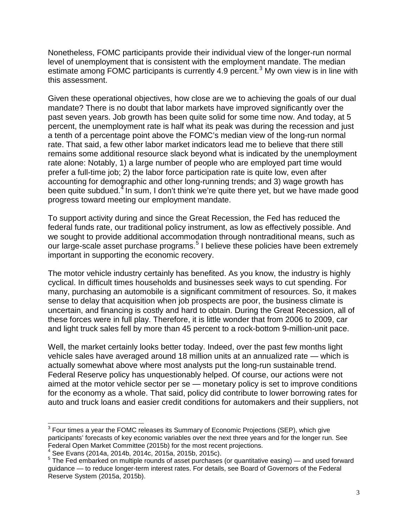Nonetheless, FOMC participants provide their individual view of the longer-run normal level of unemployment that is consistent with the employment mandate. The median estimate among FOMC participants is currently 4.9 percent.<sup>[3](#page-2-0)</sup> My own view is in line with this assessment.

Given these operational objectives, how close are we to achieving the goals of our dual mandate? There is no doubt that labor markets have improved significantly over the past seven years. Job growth has been quite solid for some time now. And today, at 5 percent, the unemployment rate is half what its peak was during the recession and just a tenth of a percentage point above the FOMC's median view of the long-run normal rate. That said, a few other labor market indicators lead me to believe that there still remains some additional resource slack beyond what is indicated by the unemployment rate alone: Notably, 1) a large number of people who are employed part time would prefer a full-time job; 2) the labor force participation rate is quite low, even after accounting for demographic and other long-running trends; and 3) wage growth has been quite subdued.<sup>[4](#page-2-1)</sup> In sum, I don't think we're quite there yet, but we have made good progress toward meeting our employment mandate.

To support activity during and since the Great Recession, the Fed has reduced the federal funds rate, our traditional policy instrument, as low as effectively possible. And we sought to provide additional accommodation through nontraditional means, such as our large-scale asset purchase programs.<sup>[5](#page-2-2)</sup> I believe these policies have been extremely important in supporting the economic recovery.

The motor vehicle industry certainly has benefited. As you know, the industry is highly cyclical. In difficult times households and businesses seek ways to cut spending. For many, purchasing an automobile is a significant commitment of resources. So, it makes sense to delay that acquisition when job prospects are poor, the business climate is uncertain, and financing is costly and hard to obtain. During the Great Recession, all of these forces were in full play. Therefore, it is little wonder that from 2006 to 2009, car and light truck sales fell by more than 45 percent to a rock-bottom 9-million-unit pace.

Well, the market certainly looks better today. Indeed, over the past few months light vehicle sales have averaged around 18 million units at an annualized rate — which is actually somewhat above where most analysts put the long-run sustainable trend. Federal Reserve policy has unquestionably helped. Of course, our actions were not aimed at the motor vehicle sector per se — monetary policy is set to improve conditions for the economy as a whole. That said, policy did contribute to lower borrowing rates for auto and truck loans and easier credit conditions for automakers and their suppliers, not

<span id="page-2-0"></span><sup>&</sup>lt;sup>3</sup> Four times a year the FOMC releases its Summary of Economic Projections (SEP), which give participants' forecasts of key economic variables over the next three years and for the longer run. See Federal Open Market Committee (2015b) for the most recent projections.<br><sup>4</sup> See Evans (2014a, 2014b, 2014c, 2015a, 2015b, 2015c).<br><sup>5</sup> The Fed embarked on multiple rounds of asset purchases (or quantitative easing) — and use

<span id="page-2-1"></span>

<span id="page-2-2"></span>guidance — to reduce longer-term interest rates. For details, see Board of Governors of the Federal Reserve System (2015a, 2015b).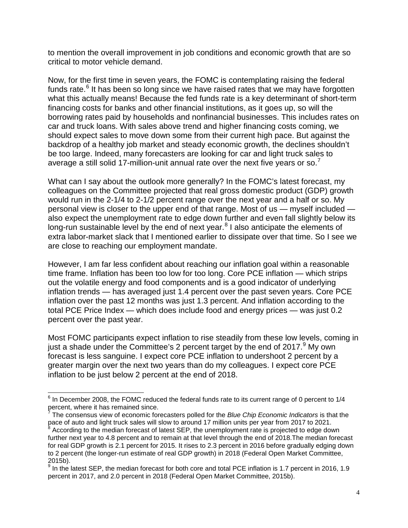to mention the overall improvement in job conditions and economic growth that are so critical to motor vehicle demand.

Now, for the first time in seven years, the FOMC is contemplating raising the federal funds rate. $6$  It has been so long since we have raised rates that we may have forgotten what this actually means! Because the fed funds rate is a key determinant of short-term financing costs for banks and other financial institutions, as it goes up, so will the borrowing rates paid by households and nonfinancial businesses. This includes rates on car and truck loans. With sales above trend and higher financing costs coming, we should expect sales to move down some from their current high pace. But against the backdrop of a healthy job market and steady economic growth, the declines shouldn't be too large. Indeed, many forecasters are looking for car and light truck sales to average a still solid 1[7](#page-3-1)-million-unit annual rate over the next five years or so. $\prime$ 

What can I say about the outlook more generally? In the FOMC's latest forecast, my colleagues on the Committee projected that real gross domestic product (GDP) growth would run in the 2-1/4 to 2-1/2 percent range over the next year and a half or so. My personal view is closer to the upper end of that range. Most of us — myself included also expect the unemployment rate to edge down further and even fall slightly below its long-run sustainable level by the end of next year.<sup>[8](#page-3-2)</sup> I also anticipate the elements of extra labor-market slack that I mentioned earlier to dissipate over that time. So I see we are close to reaching our employment mandate.

However, I am far less confident about reaching our inflation goal within a reasonable time frame. Inflation has been too low for too long. Core PCE inflation — which strips out the volatile energy and food components and is a good indicator of underlying inflation trends — has averaged just 1.4 percent over the past seven years. Core PCE inflation over the past 12 months was just 1.3 percent. And inflation according to the total PCE Price Index — which does include food and energy prices — was just 0.2 percent over the past year.

Most FOMC participants expect inflation to rise steadily from these low levels, coming in just a shade under the Committee's 2 percent target by the end of  $2017.<sup>9</sup>$  $2017.<sup>9</sup>$  $2017.<sup>9</sup>$  My own forecast is less sanguine. I expect core PCE inflation to undershoot 2 percent by a greater margin over the next two years than do my colleagues. I expect core PCE inflation to be just below 2 percent at the end of 2018.

<span id="page-3-0"></span> $6$  In December 2008, the FOMC reduced the federal funds rate to its current range of 0 percent to 1/4 percent, where it has remained since.

<span id="page-3-1"></span><sup>7</sup> The consensus view of economic forecasters polled for the *Blue Chip Economic Indicators* is that the pace of auto and light truck sales will slow to around 17 million units per year from 2017 to 2021.

<span id="page-3-2"></span>According to the median forecast of latest SEP, the unemployment rate is projected to edge down further next year to 4.8 percent and to remain at that level through the end of 2018.The median forecast for real GDP growth is 2.1 percent for 2015. It rises to 2.3 percent in 2016 before gradually edging down to 2 percent (the longer-run estimate of real GDP growth) in 2018 (Federal Open Market Committee, 2015b).

<span id="page-3-3"></span><sup>9</sup> In the latest SEP, the median forecast for both core and total PCE inflation is 1.7 percent in 2016, 1.9 percent in 2017, and 2.0 percent in 2018 (Federal Open Market Committee, 2015b).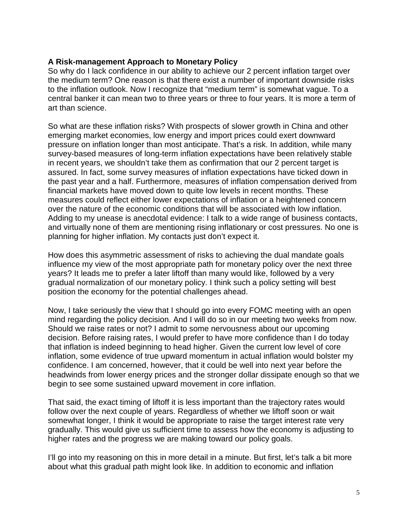#### **A Risk-management Approach to Monetary Policy**

So why do I lack confidence in our ability to achieve our 2 percent inflation target over the medium term? One reason is that there exist a number of important downside risks to the inflation outlook. Now I recognize that "medium term" is somewhat vague. To a central banker it can mean two to three years or three to four years. It is more a term of art than science.

So what are these inflation risks? With prospects of slower growth in China and other emerging market economies, low energy and import prices could exert downward pressure on inflation longer than most anticipate. That's a risk. In addition, while many survey-based measures of long-term inflation expectations have been relatively stable in recent years, we shouldn't take them as confirmation that our 2 percent target is assured. In fact, some survey measures of inflation expectations have ticked down in the past year and a half. Furthermore, measures of inflation compensation derived from financial markets have moved down to quite low levels in recent months. These measures could reflect either lower expectations of inflation or a heightened concern over the nature of the economic conditions that will be associated with low inflation. Adding to my unease is anecdotal evidence: I talk to a wide range of business contacts, and virtually none of them are mentioning rising inflationary or cost pressures. No one is planning for higher inflation. My contacts just don't expect it.

How does this asymmetric assessment of risks to achieving the dual mandate goals influence my view of the most appropriate path for monetary policy over the next three years? It leads me to prefer a later liftoff than many would like, followed by a very gradual normalization of our monetary policy. I think such a policy setting will best position the economy for the potential challenges ahead.

Now, I take seriously the view that I should go into every FOMC meeting with an open mind regarding the policy decision. And I will do so in our meeting two weeks from now. Should we raise rates or not? I admit to some nervousness about our upcoming decision. Before raising rates, I would prefer to have more confidence than I do today that inflation is indeed beginning to head higher. Given the current low level of core inflation, some evidence of true upward momentum in actual inflation would bolster my confidence. I am concerned, however, that it could be well into next year before the headwinds from lower energy prices and the stronger dollar dissipate enough so that we begin to see some sustained upward movement in core inflation.

That said, the exact timing of liftoff it is less important than the trajectory rates would follow over the next couple of years. Regardless of whether we liftoff soon or wait somewhat longer, I think it would be appropriate to raise the target interest rate very gradually. This would give us sufficient time to assess how the economy is adjusting to higher rates and the progress we are making toward our policy goals.

I'll go into my reasoning on this in more detail in a minute. But first, let's talk a bit more about what this gradual path might look like. In addition to economic and inflation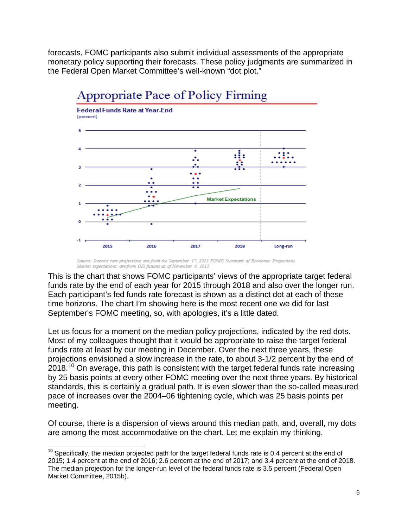forecasts, FOMC participants also submit individual assessments of the appropriate monetary policy supporting their forecasts. These policy judgments are summarized in the Federal Open Market Committee's well-known "dot plot."



# Appropriate Pace of Policy Firming

This is the chart that shows FOMC participants' views of the appropriate target federal funds rate by the end of each year for 2015 through 2018 and also over the longer run. Each participant's fed funds rate forecast is shown as a distinct dot at each of these time horizons. The chart I'm showing here is the most recent one we did for last September's FOMC meeting, so, with apologies, it's a little dated.

Let us focus for a moment on the median policy projections, indicated by the red dots. Most of my colleagues thought that it would be appropriate to raise the target federal funds rate at least by our meeting in December. Over the next three years, these projections envisioned a slow increase in the rate, to about 3-1/2 percent by the end of  $2018<sup>10</sup>$  $2018<sup>10</sup>$  $2018<sup>10</sup>$  On average, this path is consistent with the target federal funds rate increasing by 25 basis points at every other FOMC meeting over the next three years. By historical standards, this is certainly a gradual path. It is even slower than the so-called measured pace of increases over the 2004–06 tightening cycle, which was 25 basis points per meeting.

Of course, there is a dispersion of views around this median path, and, overall, my dots are among the most accommodative on the chart. Let me explain my thinking.

Source: Interest rate projections are from the September 17, 2015 FOMC Summary of Economic Projections. Market expectations are from OIS futures as of November 6, 2015.

<span id="page-5-0"></span> $10$  Specifically, the median projected path for the target federal funds rate is 0.4 percent at the end of 2015; 1.4 percent at the end of 2016; 2.6 percent at the end of 2017; and 3.4 percent at the end of 2018. The median projection for the longer-run level of the federal funds rate is 3.5 percent (Federal Open Market Committee, 2015b).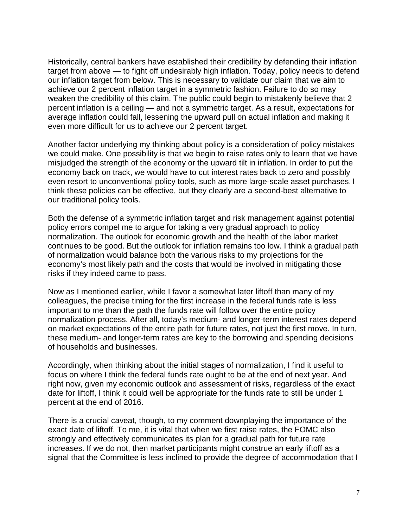Historically, central bankers have established their credibility by defending their inflation target from above — to fight off undesirably high inflation. Today, policy needs to defend our inflation target from below. This is necessary to validate our claim that we aim to achieve our 2 percent inflation target in a symmetric fashion. Failure to do so may weaken the credibility of this claim. The public could begin to mistakenly believe that 2 percent inflation is a ceiling — and not a symmetric target. As a result, expectations for average inflation could fall, lessening the upward pull on actual inflation and making it even more difficult for us to achieve our 2 percent target.

Another factor underlying my thinking about policy is a consideration of policy mistakes we could make. One possibility is that we begin to raise rates only to learn that we have misjudged the strength of the economy or the upward tilt in inflation. In order to put the economy back on track, we would have to cut interest rates back to zero and possibly even resort to unconventional policy tools, such as more large-scale asset purchases. I think these policies can be effective, but they clearly are a second-best alternative to our traditional policy tools.

Both the defense of a symmetric inflation target and risk management against potential policy errors compel me to argue for taking a very gradual approach to policy normalization. The outlook for economic growth and the health of the labor market continues to be good. But the outlook for inflation remains too low. I think a gradual path of normalization would balance both the various risks to my projections for the economy's most likely path and the costs that would be involved in mitigating those risks if they indeed came to pass.

Now as I mentioned earlier, while I favor a somewhat later liftoff than many of my colleagues, the precise timing for the first increase in the federal funds rate is less important to me than the path the funds rate will follow over the entire policy normalization process. After all, today's medium- and longer-term interest rates depend on market expectations of the entire path for future rates, not just the first move. In turn, these medium- and longer-term rates are key to the borrowing and spending decisions of households and businesses.

Accordingly, when thinking about the initial stages of normalization, I find it useful to focus on where I think the federal funds rate ought to be at the end of next year. And right now, given my economic outlook and assessment of risks, regardless of the exact date for liftoff, I think it could well be appropriate for the funds rate to still be under 1 percent at the end of 2016.

There is a crucial caveat, though, to my comment downplaying the importance of the exact date of liftoff. To me, it is vital that when we first raise rates, the FOMC also strongly and effectively communicates its plan for a gradual path for future rate increases. If we do not, then market participants might construe an early liftoff as a signal that the Committee is less inclined to provide the degree of accommodation that I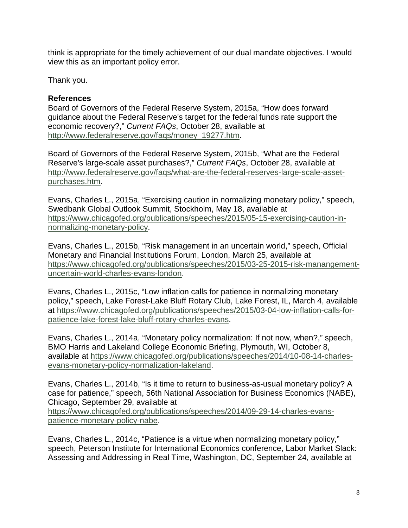think is appropriate for the timely achievement of our dual mandate objectives. I would view this as an important policy error.

Thank you.

### **References**

Board of Governors of the Federal Reserve System, 2015a, "How does forward guidance about the Federal Reserve's target for the federal funds rate support the economic recovery?," *Current FAQs*, October 28, available at [http://www.federalreserve.gov/faqs/money\\_19277.htm.](http://www.federalreserve.gov/faqs/money_19277.htm)

Board of Governors of the Federal Reserve System, 2015b, "What are the Federal Reserve's large-scale asset purchases?," *Current FAQs*, October 28, available at [http://www.federalreserve.gov/faqs/what-are-the-federal-reserves-large-scale-asset](http://www.federalreserve.gov/faqs/what-are-the-federal-reserves-large-scale-asset-purchases.htm)[purchases.htm.](http://www.federalreserve.gov/faqs/what-are-the-federal-reserves-large-scale-asset-purchases.htm)

Evans, Charles L., 2015a, "Exercising caution in normalizing monetary policy," speech, Swedbank Global Outlook Summit, Stockholm, May 18, available at [https://www.chicagofed.org/publications/speeches/2015/05-15-exercising-caution-in](https://www.chicagofed.org/publications/speeches/2015/05-15-exercising-caution-in-normalizing-monetary-policy)[normalizing-monetary-policy.](https://www.chicagofed.org/publications/speeches/2015/05-15-exercising-caution-in-normalizing-monetary-policy)

Evans, Charles L., 2015b, "Risk management in an uncertain world," speech, Official Monetary and Financial Institutions Forum, London, March 25, available at [https://www.chicagofed.org/publications/speeches/2015/03-25-2015-risk-manangement](https://www.chicagofed.org/publications/speeches/2015/03-25-2015-risk-manangement-uncertain-world-charles-evans-london)[uncertain-world-charles-evans-london.](https://www.chicagofed.org/publications/speeches/2015/03-25-2015-risk-manangement-uncertain-world-charles-evans-london)

Evans, Charles L., 2015c, "Low inflation calls for patience in normalizing monetary policy," speech, Lake Forest-Lake Bluff Rotary Club, Lake Forest, IL, March 4, available at [https://www.chicagofed.org/publications/speeches/2015/03-04-low-inflation-calls-for](https://www.chicagofed.org/publications/speeches/2015/03-04-low-inflation-calls-for-patience-lake-forest-lake-bluff-rotary-charles-evans)[patience-lake-forest-lake-bluff-rotary-charles-evans.](https://www.chicagofed.org/publications/speeches/2015/03-04-low-inflation-calls-for-patience-lake-forest-lake-bluff-rotary-charles-evans)

Evans, Charles L., 2014a, "Monetary policy normalization: If not now, when?," speech, BMO Harris and Lakeland College Economic Briefing, Plymouth, WI, October 8, available at [https://www.chicagofed.org/publications/speeches/2014/10-08-14-charles](https://www.chicagofed.org/publications/speeches/2014/10-08-14-charles-evans-monetary-policy-normalization-lakeland)[evans-monetary-policy-normalization-lakeland.](https://www.chicagofed.org/publications/speeches/2014/10-08-14-charles-evans-monetary-policy-normalization-lakeland)

Evans, Charles L., 2014b, "Is it time to return to business-as-usual monetary policy? A case for patience," speech, 56th National Association for Business Economics (NABE), Chicago, September 29, available at

[https://www.chicagofed.org/publications/speeches/2014/09-29-14-charles-evans](https://www.chicagofed.org/publications/speeches/2014/09-29-14-charles-evans-patience-monetary-policy-nabe)[patience-monetary-policy-nabe.](https://www.chicagofed.org/publications/speeches/2014/09-29-14-charles-evans-patience-monetary-policy-nabe)

Evans, Charles L., 2014c, "Patience is a virtue when normalizing monetary policy," speech, Peterson Institute for International Economics conference, Labor Market Slack: Assessing and Addressing in Real Time, Washington, DC, September 24, available at